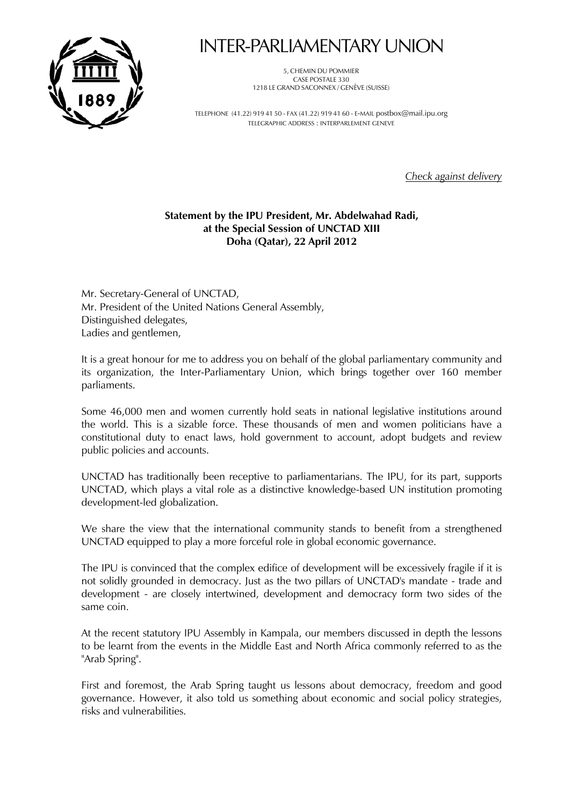

## INTER-PARLIAMENTARY UNION

5, CHEMIN DU POMMIER CASE POSTALE 330 1218 LE GRAND SACONNEX / GENÈVE (SUISSE)

TELEPHONE (41.22) 919 41 50 - FAX (41.22) 919 41 60 - E-MAIL postbox@mail.ipu.org TELEGRAPHIC ADDRESS : INTERPARLEMENT GENEVE

*Check against delivery*

## **Statement by the IPU President, Mr. Abdelwahad Radi, at the Special Session of UNCTAD XIII Doha (Qatar), 22 April 2012**

Mr. Secretary-General of UNCTAD, Mr. President of the United Nations General Assembly, Distinguished delegates, Ladies and gentlemen,

It is a great honour for me to address you on behalf of the global parliamentary community and its organization, the Inter-Parliamentary Union, which brings together over 160 member parliaments.

Some 46,000 men and women currently hold seats in national legislative institutions around the world. This is a sizable force. These thousands of men and women politicians have a constitutional duty to enact laws, hold government to account, adopt budgets and review public policies and accounts.

UNCTAD has traditionally been receptive to parliamentarians. The IPU, for its part, supports UNCTAD, which plays a vital role as a distinctive knowledge-based UN institution promoting development-led globalization.

We share the view that the international community stands to benefit from a strengthened UNCTAD equipped to play a more forceful role in global economic governance.

The IPU is convinced that the complex edifice of development will be excessively fragile if it is not solidly grounded in democracy. Just as the two pillars of UNCTAD's mandate - trade and development - are closely intertwined, development and democracy form two sides of the same coin.

At the recent statutory IPU Assembly in Kampala, our members discussed in depth the lessons to be learnt from the events in the Middle East and North Africa commonly referred to as the "Arab Spring".

First and foremost, the Arab Spring taught us lessons about democracy, freedom and good governance. However, it also told us something about economic and social policy strategies, risks and vulnerabilities.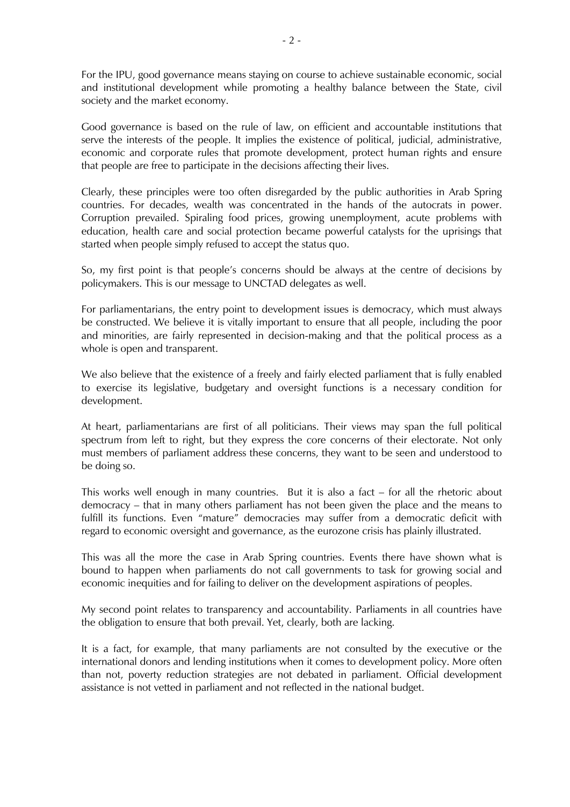For the IPU, good governance means staying on course to achieve sustainable economic, social and institutional development while promoting a healthy balance between the State, civil society and the market economy.

Good governance is based on the rule of law, on efficient and accountable institutions that serve the interests of the people. It implies the existence of political, judicial, administrative, economic and corporate rules that promote development, protect human rights and ensure that people are free to participate in the decisions affecting their lives.

Clearly, these principles were too often disregarded by the public authorities in Arab Spring countries. For decades, wealth was concentrated in the hands of the autocrats in power. Corruption prevailed. Spiraling food prices, growing unemployment, acute problems with education, health care and social protection became powerful catalysts for the uprisings that started when people simply refused to accept the status quo.

So, my first point is that people's concerns should be always at the centre of decisions by policymakers. This is our message to UNCTAD delegates as well.

For parliamentarians, the entry point to development issues is democracy, which must always be constructed. We believe it is vitally important to ensure that all people, including the poor and minorities, are fairly represented in decision-making and that the political process as a whole is open and transparent.

We also believe that the existence of a freely and fairly elected parliament that is fully enabled to exercise its legislative, budgetary and oversight functions is a necessary condition for development.

At heart, parliamentarians are first of all politicians. Their views may span the full political spectrum from left to right, but they express the core concerns of their electorate. Not only must members of parliament address these concerns, they want to be seen and understood to be doing so.

This works well enough in many countries. But it is also a fact – for all the rhetoric about democracy – that in many others parliament has not been given the place and the means to fulfill its functions. Even "mature" democracies may suffer from a democratic deficit with regard to economic oversight and governance, as the eurozone crisis has plainly illustrated.

This was all the more the case in Arab Spring countries. Events there have shown what is bound to happen when parliaments do not call governments to task for growing social and economic inequities and for failing to deliver on the development aspirations of peoples.

My second point relates to transparency and accountability. Parliaments in all countries have the obligation to ensure that both prevail. Yet, clearly, both are lacking.

It is a fact, for example, that many parliaments are not consulted by the executive or the international donors and lending institutions when it comes to development policy. More often than not, poverty reduction strategies are not debated in parliament. Official development assistance is not vetted in parliament and not reflected in the national budget.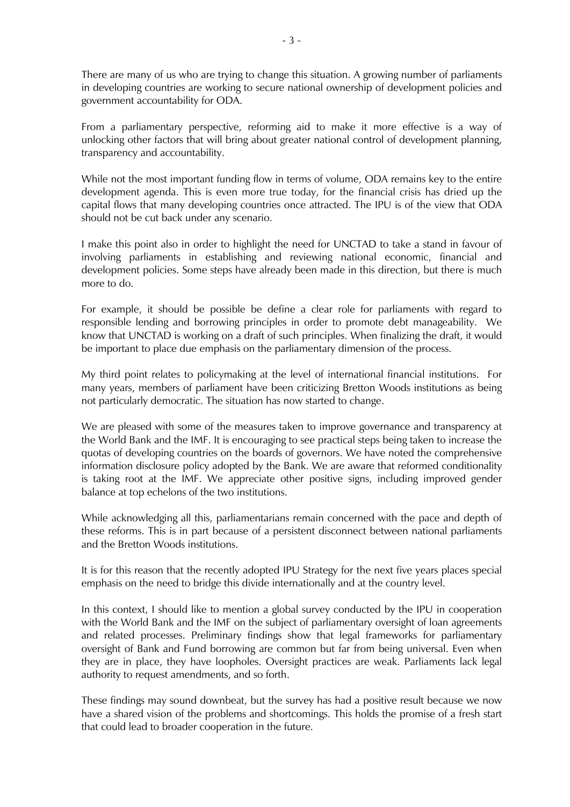There are many of us who are trying to change this situation. A growing number of parliaments in developing countries are working to secure national ownership of development policies and government accountability for ODA.

From a parliamentary perspective, reforming aid to make it more effective is a way of unlocking other factors that will bring about greater national control of development planning, transparency and accountability.

While not the most important funding flow in terms of volume, ODA remains key to the entire development agenda. This is even more true today, for the financial crisis has dried up the capital flows that many developing countries once attracted. The IPU is of the view that ODA should not be cut back under any scenario.

I make this point also in order to highlight the need for UNCTAD to take a stand in favour of involving parliaments in establishing and reviewing national economic, financial and development policies. Some steps have already been made in this direction, but there is much more to do.

For example, it should be possible be define a clear role for parliaments with regard to responsible lending and borrowing principles in order to promote debt manageability. We know that UNCTAD is working on a draft of such principles. When finalizing the draft, it would be important to place due emphasis on the parliamentary dimension of the process.

My third point relates to policymaking at the level of international financial institutions. For many years, members of parliament have been criticizing Bretton Woods institutions as being not particularly democratic. The situation has now started to change.

We are pleased with some of the measures taken to improve governance and transparency at the World Bank and the IMF. It is encouraging to see practical steps being taken to increase the quotas of developing countries on the boards of governors. We have noted the comprehensive information disclosure policy adopted by the Bank. We are aware that reformed conditionality is taking root at the IMF. We appreciate other positive signs, including improved gender balance at top echelons of the two institutions.

While acknowledging all this, parliamentarians remain concerned with the pace and depth of these reforms. This is in part because of a persistent disconnect between national parliaments and the Bretton Woods institutions.

It is for this reason that the recently adopted IPU Strategy for the next five years places special emphasis on the need to bridge this divide internationally and at the country level.

In this context, I should like to mention a global survey conducted by the IPU in cooperation with the World Bank and the IMF on the subject of parliamentary oversight of loan agreements and related processes. Preliminary findings show that legal frameworks for parliamentary oversight of Bank and Fund borrowing are common but far from being universal. Even when they are in place, they have loopholes. Oversight practices are weak. Parliaments lack legal authority to request amendments, and so forth.

These findings may sound downbeat, but the survey has had a positive result because we now have a shared vision of the problems and shortcomings. This holds the promise of a fresh start that could lead to broader cooperation in the future.